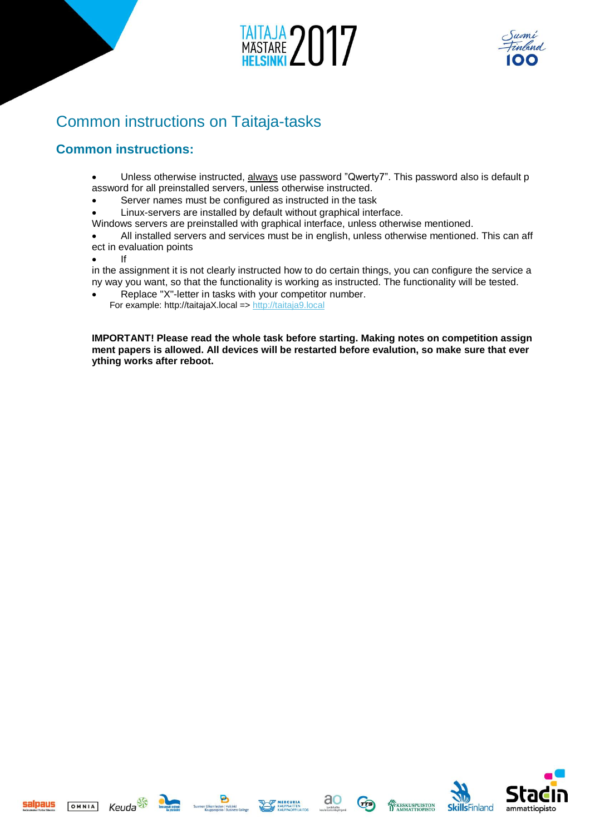



# Common instructions on Taitaja-tasks

# **Common instructions:**

- Unless otherwise instructed, always use password "Qwerty7". This password also is default p assword for all preinstalled servers, unless otherwise instructed.
- Server names must be configured as instructed in the task
- Linux-servers are installed by default without graphical interface.
- Windows servers are preinstalled with graphical interface, unless otherwise mentioned.
- All installed servers and services must be in english, unless otherwise mentioned. This can aff ect in evaluation points
- 

• If

in the assignment it is not clearly instructed how to do certain things, you can configure the service a ny way you want, so that the functionality is working as instructed. The functionality will be tested.

• Replace "X"-letter in tasks with your competitor number. For example: http://taitajaX.local => [http://taitaja9.local](http://taitaja9.local/)

**IMPORTANT! Please read the whole task before starting. Making notes on competition assign ment papers is allowed. All devices will be restarted before evalution, so make sure that ever ything works after reboot.**









 $\sigma$ 



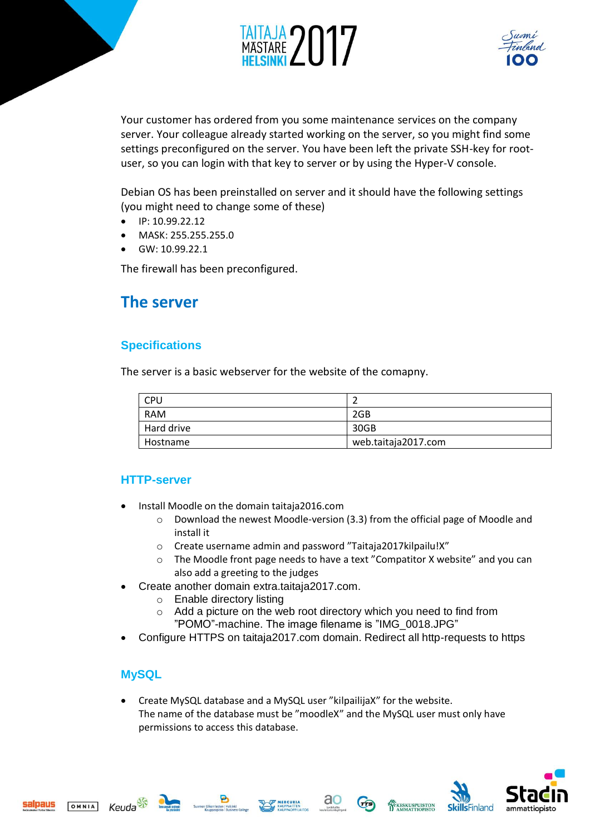



Your customer has ordered from you some maintenance services on the company server. Your colleague already started working on the server, so you might find some settings preconfigured on the server. You have been left the private SSH-key for rootuser, so you can login with that key to server or by using the Hyper-V console.

Debian OS has been preinstalled on server and it should have the following settings (you might need to change some of these)

- IP: 10.99.22.12
- MASK: 255.255.255.0
- GW: 10.99.22.1

The firewall has been preconfigured.

# **The server**

### **Specifications**

The server is a basic webserver for the website of the comapny.

| <b>CPU</b> |                     |  |
|------------|---------------------|--|
| <b>RAM</b> | 2GB                 |  |
| Hard drive | 30GB                |  |
| Hostname   | web.taitaja2017.com |  |

### **HTTP-server**

- Install Moodle on the domain taitaja2016.com
	- $\circ$  Download the newest Moodle-version (3.3) from the official page of Moodle and install it
	- o Create username admin and password "Taitaja2017kilpailu!X"
	- $\circ$  The Moodle front page needs to have a text "Compatitor X website" and you can also add a greeting to the judges
- Create another domain extra.taitaja2017.com.
	- o Enable directory listing
	- o Add a picture on the web root directory which you need to find from "POMO"-machine. The image filename is "IMG\_0018.JPG"
- Configure HTTPS on taitaja2017.com domain. Redirect all http-requests to https

### **MySQL**

• Create MySQL database and a MySQL user "kilpailijaX" for the website. The name of the database must be "moodleX" and the MySQL user must only have permissions to access this database.



salnaus





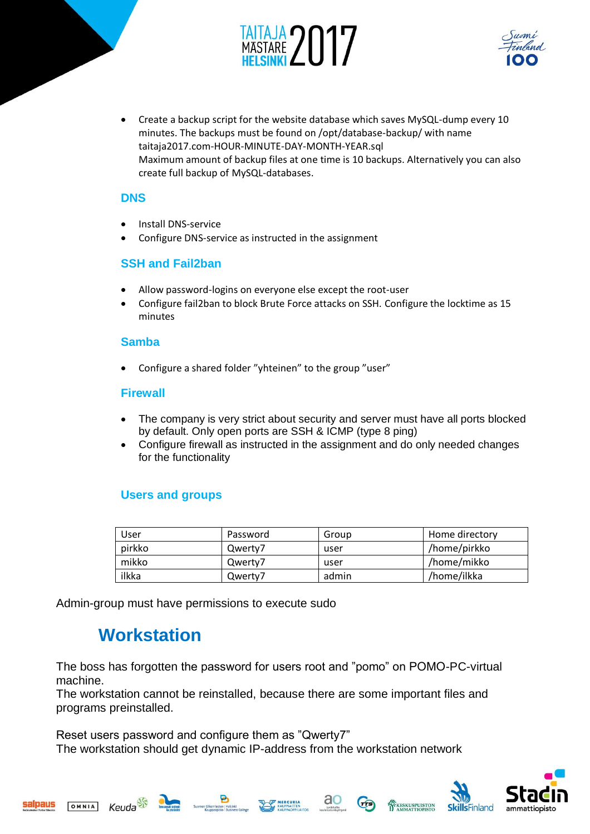



• Create a backup script for the website database which saves MySQL-dump every 10 minutes. The backups must be found on /opt/database-backup/ with name taitaja2017.com-HOUR-MINUTE-DAY-MONTH-YEAR.sql Maximum amount of backup files at one time is 10 backups. Alternatively you can also create full backup of MySQL-databases.

### **DNS**

- Install DNS-service
- Configure DNS-service as instructed in the assignment

## **SSH and Fail2ban**

- Allow password-logins on everyone else except the root-user
- Configure fail2ban to block Brute Force attacks on SSH. Configure the locktime as 15 minutes

### **Samba**

• Configure a shared folder "yhteinen" to the group "user"

### **Firewall**

- The company is very strict about security and server must have all ports blocked by default. Only open ports are SSH & ICMP (type 8 ping)
- Configure firewall as instructed in the assignment and do only needed changes for the functionality

# **Users and groups**

| User   | Password | Group | Home directory |
|--------|----------|-------|----------------|
| pirkko | Qwerty7  | user  | /home/pirkko   |
| mikko  | Qwerty7  | user  | /home/mikko    |
| ilkka  | Qwerty7  | admin | /home/ilkka    |

ao

 $\sigma$ 

KESKUSPUISTON

Admin-group must have permissions to execute sudo

# **Workstation**

The boss has forgotten the password for users root and "pomo" on POMO-PC-virtual machine.

The workstation cannot be reinstalled, because there are some important files and programs preinstalled.

Reset users password and configure them as "Qwerty7" The workstation should get dynamic IP-address from the workstation network